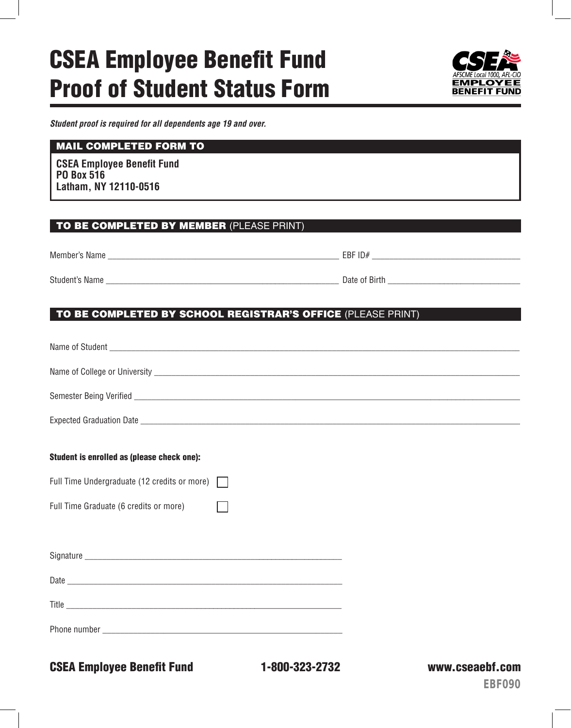# CSEA Employee Benefit Fund Proof of Student Status Form



*Student proof is required for all dependents age 19 and over.*

#### MAIL COMPLETED FORM TO

**CSEA Employee Benefit Fund PO Box 516 Latham, NY 12110-0516**

#### TO BE COMPLETED BY MEMBER (PLEASE PRINT)

| Member's Name  | EBF ID#       |
|----------------|---------------|
| Student's Name | Date of Birth |

#### TO BE COMPLETED BY SCHOOL REGISTRAR'S OFFICE (PLEASE PRINT)

| Student is enrolled as (please check one):          |
|-----------------------------------------------------|
| Full Time Undergraduate (12 credits or more) $\Box$ |
| Full Time Graduate (6 credits or more)              |
|                                                     |
|                                                     |
|                                                     |
|                                                     |
|                                                     |
|                                                     |

CSEA Employee Benefit Fund 1-800-323-2732 www.cseaebf.com